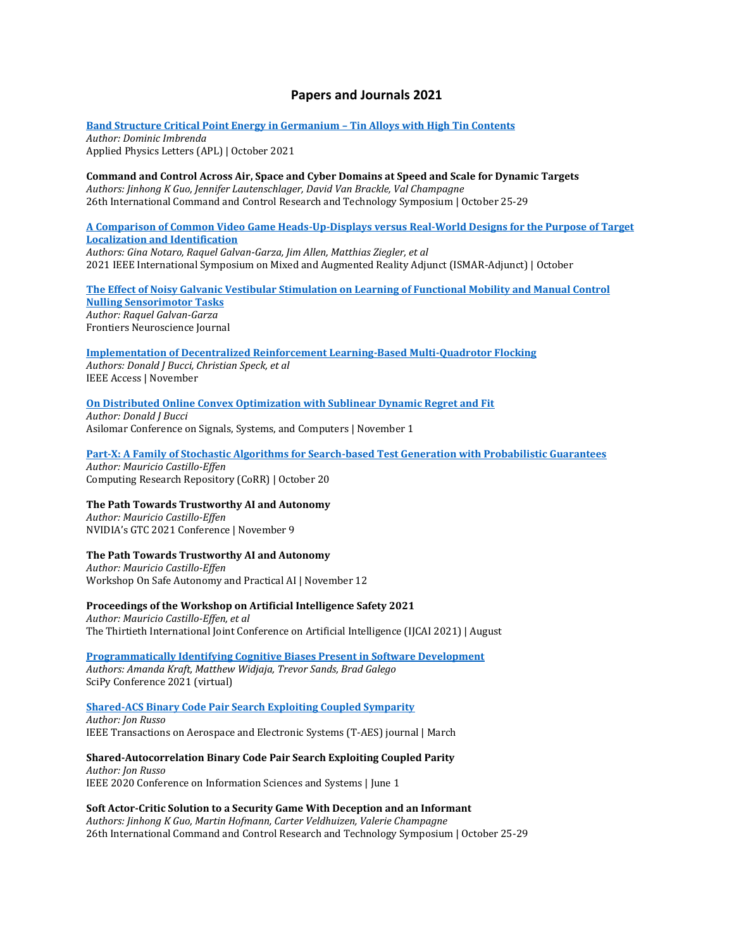# **Papers and Journals 2021**

**[Band Structure Critical Point Energy in Germanium](https://aip.scitation.org/doi/full/10.1063/5.0064358) – Tin Alloys with High Tin Contents** *Author: Dominic Imbrenda* Applied Physics Letters (APL) | October 2021

**Command and Control Across Air, Space and Cyber Domains at Speed and Scale for Dynamic Targets** *Authors: Jinhong K Guo, Jennifer Lautenschlager, David Van Brackle, Val Champagne* 26th International Command and Control Research and Technology Symposium | October 25-29

**[A Comparison of Common Video Game Heads-Up-Displays versus Real-World Designs for the Purpose of Target](https://ieeexplore.ieee.org/document/9585877)  [Localization and Identification](https://ieeexplore.ieee.org/document/9585877)**

*Authors: Gina Notaro, Raquel Galvan-Garza, Jim Allen, Matthias Ziegler, et al* 2021 IEEE International Symposium on Mixed and Augmented Reality Adjunct (ISMAR-Adjunct) | October

**[The Effect of Noisy Galvanic Vestibular Stimulation on Learning of Functional Mobility and Manual Control](https://www.frontiersin.org/articles/10.3389/fnhum.2021.756674/full)  [Nulling Sensorimotor Tasks](https://www.frontiersin.org/articles/10.3389/fnhum.2021.756674/full)** *Author: Raquel Galvan-Garza* Frontiers Neuroscience Journal

**[Implementation of Decentralized Reinforcement Learning-Based Multi-Quadrotor Flocking](https://ieeexplore.ieee.org/iel7/6287639/9312710/09548090.pdf)** *Authors: Donald J Bucci, Christian Speck, et al*

IEEE Access | November

**[On Distributed Online Convex Optimization with Sublinear Dynamic Regret and Fit](https://ieeexplore.ieee.org/iel7/9723034/9723086/09723285.pdf)**

*Author: Donald J Bucci* Asilomar Conference on Signals, Systems, and Computers | November 1

**[Part-X: A Family of Stochastic Algorithms for Search-based Test Generation with Probabilistic Guarantees](https://arxiv.org/abs/2110.10729#:~:text=20%20Oct%202021%5D-,Part%2DX%3A%20A%20Family%20of%20Stochastic%20Algorithms%20for%20Search%2D,Test%20Generation%20with%20Probabilistic%20Guarantees&text=Requirements%20driven%20search%2Dbased%20testing,behaviors%20in%20Cyber%2DPhysical%20Systems.)** *Author: Mauricio Castillo-Effen*

Computing Research Repository (CoRR) | October 20

**The Path Towards Trustworthy AI and Autonomy**

*Author: Mauricio Castillo-Effen* NVIDIA's GTC 2021 Conference | November 9

### **The Path Towards Trustworthy AI and Autonomy**

*Author: Mauricio Castillo-Effen* Workshop On Safe Autonomy and Practical AI | November 12

**Proceedings of the Workshop on Artificial Intelligence Safety 2021**

*Author: Mauricio Castillo-Effen, et al* The Thirtieth International Joint Conference on Artificial Intelligence (IJCAI 2021) | August

**[Programmatically Identifying Cognitive Biases Present in Software Development](http://conference.scipy.org/proceedings/scipy2021/pdfs/lm_cognitive.pdf)** *Authors: Amanda Kraft, Matthew Widjaja, Trevor Sands, Brad Galego* SciPy Conference 2021 (virtual)

**[Shared-ACS Binary Code Pair Search Exploiting Coupled Symparity](https://ieeexplore.ieee.org/document/9325011)**

*Author: Jon Russo* IEEE Transactions on Aerospace and Electronic Systems (T-AES) journal | March

**Shared-Autocorrelation Binary Code Pair Search Exploiting Coupled Parity** *Author: Jon Russo* IEEE 2020 Conference on Information Sciences and Systems | June 1

**Soft Actor-Critic Solution to a Security Game With Deception and an Informant** *Authors: Jinhong K Guo, Martin Hofmann, Carter Veldhuizen, Valerie Champagne* 26th International Command and Control Research and Technology Symposium | October 25-29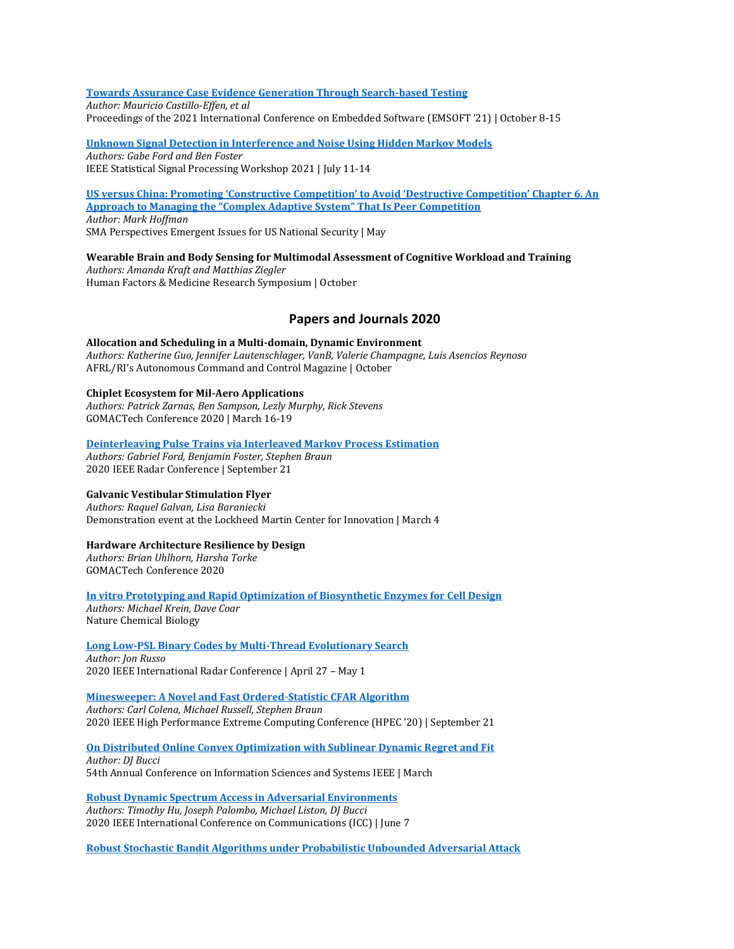## **[Towards Assurance Case Evidence Generation Through Search-based Testing](https://ieeexplore.ieee.org/document/9589327)**

*Author: Mauricio Castillo-Effen, et al* Proceedings of the 2021 International Conference on Embedded Software (EMSOFT '21) | October 8-15

**[Unknown Signal Detection in Interference and Noise Using Hidden Markov Models](https://ieeexplore.ieee.org/document/9513832)** *Authors: Gabe Ford and Ben Foster*

IEEE Statistical Signal Processing Workshop 2021 | July 11-14

**[US versus China: Promoting 'Constructive Competition' to Avoid 'Destructive Competition' Chapter 6. An](https://nsiteam.com/social/wp-content/uploads/2021/09/2021Sept_SMA-Perspectives_USvChina-Competition-Paper-2.pdf)  [Approach to Managing the "Complex Adaptive System" That Is Peer Competition](https://nsiteam.com/social/wp-content/uploads/2021/09/2021Sept_SMA-Perspectives_USvChina-Competition-Paper-2.pdf)** *Author: Mark Hoffman* SMA Perspectives Emergent Issues for US National Security | May

**Wearable Brain and Body Sensing for Multimodal Assessment of Cognitive Workload and Training** *Authors: Amanda Kraft and Matthias Ziegler* Human Factors & Medicine Research Symposium | October

# **Papers and Journals 2020**

**Allocation and Scheduling in a Multi-domain, Dynamic Environment**  *Authors: Katherine Guo, Jennifer Lautenschlager, VanB, Valerie Champagne, Luis Asencios Reynoso*  AFRL/RI's Autonomous Command and Control Magazine | October

**Chiplet Ecosystem for Mil-Aero Applications**  *Authors: Patrick Zarnas, Ben Sampson, Lezly Murphy, Rick Stevens*  GOMACTech Conference 2020 | March 16-19

**[Deinterleaving Pulse Trains via Interleaved Markov Process Estimation](https://ieeexplore.ieee.org/document/9266602)** *Authors: Gabriel Ford, Benjamin Foster, Stephen Braun*  2020 IEEE Radar Conference | September 21

### **Galvanic Vestibular Stimulation Flyer**

*Authors: Raquel Galvan, Lisa Baraniecki*  Demonstration event at the Lockheed Martin Center for Innovation | March 4

### **Hardware Architecture Resilience by Design**

*Authors: Brian Uhlhorn, Harsha Torke*  GOMACTech Conference 2020

**[In vitro Prototyping and Rapid Optimization of Biosynthetic Enzymes for Cell Design](https://ieeexplore.ieee.org/document/9266602)** *Authors: Michael Krein, Dave Coar*  Nature Chemical Biology

**[Long Low-PSL Binary Codes by Multi-Thread Evolutionary Search](https://ieeexplore.ieee.org/document/9114568)** *Author: Jon Russo*  2020 IEEE International Radar Conference | April 27 – May 1

## **[Minesweeper: A Novel and Fast Ordered-Statistic CFAR Algorithm](https://ieeexplore.ieee.org/document/9286140)**

*Authors: Carl Colena, Michael Russell, Stephen Braun*  2020 IEEE High Performance Extreme Computing Conference (HPEC '20) | September 21

### **[On Distributed Online Convex Optimization with Sublinear Dynamic Regret and Fit](https://arxiv.org/abs/2001.03166)**

*Author: DJ Bucci*  54th Annual Conference on Information Sciences and Systems IEEE | March

**[Robust Dynamic Spectrum Access in Adversarial Environments](https://ieeexplore.ieee.org/abstract/document/9148923)** *Authors: Timothy Hu, Joseph Palombo, Michael Liston, DJ Bucci*  2020 IEEE International Conference on Communications (ICC) | June 7

**[Robust Stochastic Bandit Algorithms under Probabilistic Unbounded Adversarial Attack](https://ojs.aaai.org/index.php/AAAI/article/view/5821)**